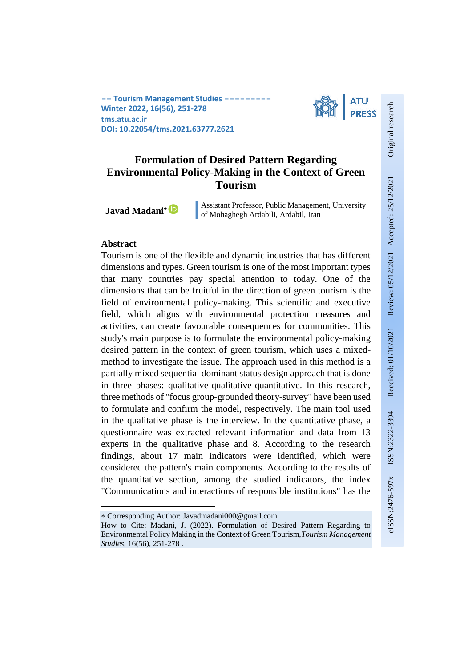**-- Tourism Management Studies --Winter 2022, 16(56), 251-278 tms.atu.ac.ir DOI: 10.22054/tms.2021.63777.2621**



# **Formulation of Desired Pattern Regarding Environmental Policy-Making in the Context of Green Tourism**

**Javad Madani**

Assistant Professor, Public Management, University of Mohaghegh Ardabili, Ardabil, Iran

### **Abstract**

1

Tourism is one of the flexible and dynamic industries that has different dimensions and types. Green tourism is one of the most important types that many countries pay special attention to today. One of the dimensions that can be fruitful in the direction of green tourism is the field of environmental policy-making. This scientific and executive field, which aligns with environmental protection measures and activities, can create favourable consequences for communities. This study's main purpose is to formulate the environmental policy-making desired pattern in the context of green tourism, which uses a mixedmethod to investigate the issue. The approach used in this method is a partially mixed sequential dominant status design approach that is done in three phases: qualitative-qualitative-quantitative. In this research, three methods of "focus group-grounded theory-survey" have been used to formulate and confirm the model, respectively. The main tool used in the qualitative phase is the interview. In the quantitative phase, a questionnaire was extracted relevant information and data from 13 experts in the qualitative phase and 8. According to the research findings, about 17 main indicators were identified, which were considered the pattern's main components. According to the results of the quantitative section, among the studied indicators, the index "Communications and interactions of responsible institutions" has the

Corresponding Author: Javadmadani000@gmail.com

How to Cite: Madani, J. (2022). Formulation of Desired Pattern Regarding to Environmental Policy Making in the Context of Green Tourism,*Tourism Management Studies*, 16(56), 251-278 .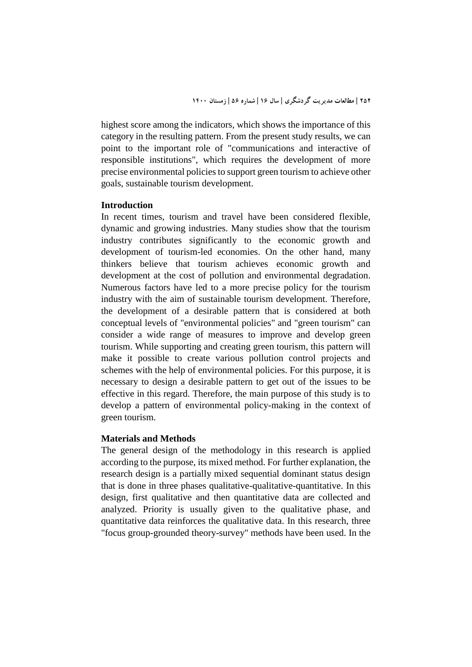highest score among the indicators, which shows the importance of this category in the resulting pattern. From the present study results, we can point to the important role of "communications and interactive of responsible institutions", which requires the development of more precise environmental policies to support green tourism to achieve other goals, sustainable tourism development.

### **Introduction**

In recent times, tourism and travel have been considered flexible, dynamic and growing industries. Many studies show that the tourism industry contributes significantly to the economic growth and development of tourism-led economies. On the other hand, many thinkers believe that tourism achieves economic growth and development at the cost of pollution and environmental degradation. Numerous factors have led to a more precise policy for the tourism industry with the aim of sustainable tourism development. Therefore, the development of a desirable pattern that is considered at both conceptual levels of "environmental policies" and "green tourism" can consider a wide range of measures to improve and develop green tourism. While supporting and creating green tourism, this pattern will make it possible to create various pollution control projects and schemes with the help of environmental policies. For this purpose, it is necessary to design a desirable pattern to get out of the issues to be effective in this regard. Therefore, the main purpose of this study is to develop a pattern of environmental policy-making in the context of green tourism.

### **Materials and Methods**

The general design of the methodology in this research is applied according to the purpose, its mixed method. For further explanation, the research design is a partially mixed sequential dominant status design that is done in three phases qualitative-qualitative-quantitative. In this design, first qualitative and then quantitative data are collected and analyzed. Priority is usually given to the qualitative phase, and quantitative data reinforces the qualitative data. In this research, three "focus group-grounded theory-survey" methods have been used. In the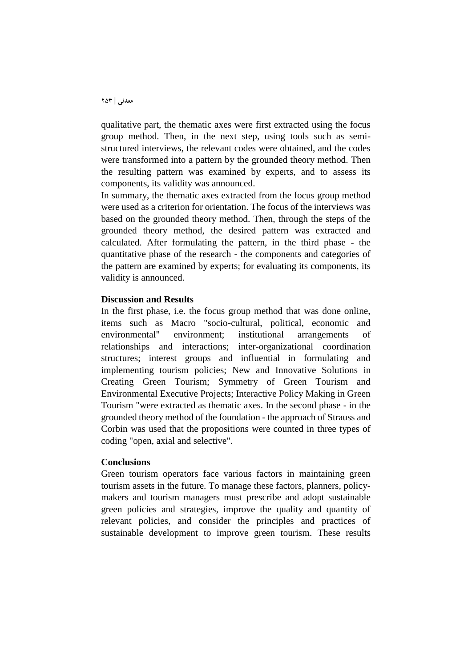qualitative part, the thematic axes were first extracted using the focus group method. Then, in the next step, using tools such as semistructured interviews, the relevant codes were obtained, and the codes were transformed into a pattern by the grounded theory method. Then the resulting pattern was examined by experts, and to assess its components, its validity was announced.

In summary, the thematic axes extracted from the focus group method were used as a criterion for orientation. The focus of the interviews was based on the grounded theory method. Then, through the steps of the grounded theory method, the desired pattern was extracted and calculated. After formulating the pattern, in the third phase - the quantitative phase of the research - the components and categories of the pattern are examined by experts; for evaluating its components, its validity is announced.

### **Discussion and Results**

In the first phase, i.e. the focus group method that was done online, items such as Macro "socio-cultural, political, economic and environmental" environment; institutional arrangements of relationships and interactions; inter-organizational coordination structures; interest groups and influential in formulating and implementing tourism policies; New and Innovative Solutions in Creating Green Tourism; Symmetry of Green Tourism and Environmental Executive Projects; Interactive Policy Making in Green Tourism "were extracted as thematic axes. In the second phase - in the grounded theory method of the foundation - the approach of Strauss and Corbin was used that the propositions were counted in three types of coding "open, axial and selective".

#### **Conclusions**

Green tourism operators face various factors in maintaining green tourism assets in the future. To manage these factors, planners, policymakers and tourism managers must prescribe and adopt sustainable green policies and strategies, improve the quality and quantity of relevant policies, and consider the principles and practices of sustainable development to improve green tourism. These results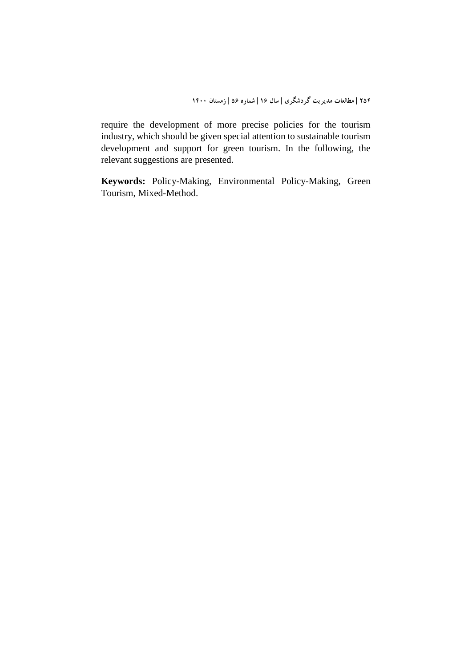require the development of more precise policies for the tourism industry, which should be given special attention to sustainable tourism development and support for green tourism. In the following, the relevant suggestions are presented.

**Keywords:** Policy-Making, Environmental Policy-Making, Green Tourism, Mixed-Method.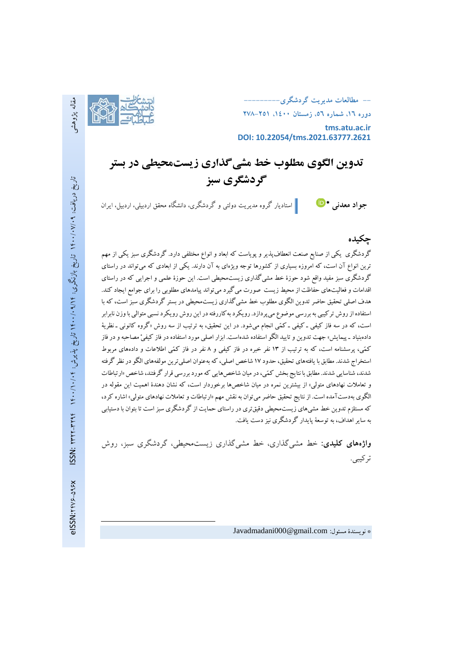

**-- مطالعات مديريت گردشگري---------**

**دوره ،16 شماره ،56 زمستان ،1400 278-251**

**tms.atu.ac.ir DOI: 10.22054/tms.2021.63777.2621**

**تدوین الگوی مطلوب خط مشیگذاری زیستمحیطی در بستر گردشگری سب** 

استادیار گروه مدیریت دولتی <sup>و</sup> گردشگری، دانشگاه محقق اردبیلی، اردبیل، ایران **جواد معدني**

### **چكیده**

گردشگری يکي از صنايع صنعت انعطافپذير و پوياست که ابعاد و انواع مختلفي دارد. گردشگری سبز يکي از مهم ترين انواع آن است، که امروزه بسياری از کشورها توجه ويژهای به آن دارند. يکي از ابعادی که ميتواند در راستای گردشگری سبز مفيد واقع شود حوزۀ خط مشيگذاری زيستمحيطي است. اين حوزۀ علمي و اجرايي که در راستای اقدامات وفعاليتهای حفاظت از محيط زيست صورت ميگيرد ميتواند پيامدهای مطلوبي را برای جوامع ايجاد کند. هدف اصلي تحقيق حاضر تدوين الگوی مطلوب خط مشيگذاری زيستمحيطي در بستر گردشگری سبزاست، که با استفاده ازروش ترکيبي بهبررسي موضوع ميپردازد. رويکردبهکاررفتهدراين روش رويکردنسبي متوالي باوزن نابرابر است، که در سه فاز کيفي ـ کيفي ـ کمّي انجام ميشود. در اين تحقيق، به ترتيب از سه روش «گروه کانوني ـ نظريهٔ دادهبنياد ـ پيمايش» جهت تدوين و تاييد الگو استفاده شدهاست. ابزار اصلي مورد استفاده در فاز کيفيْ مصاحبه و در فاز کمّي، پرسشنامه است، که به ترتيب از 13 نفر خبره در فاز کيفي و 8 نفر در فاز کمّي اطالعات و دادههای مربوط استخراج شدند. مطابق با يافتههای تحقيق، حدود ۱۷ شاخص اصلي، که بهعنوان اصلي ترين مولفههای الگو در نظر گرفته شدند، شناسايي شدند. مطابق با نتايج بخش کمّي، در ميان شاخص هايي که مورد بررسي قرار گرفتند، شاخص «ارتباطات و تعامالت نهادهای متولي« از بيشترين نمره در ميان شاخصها برخوردار است، که نشان دهندۀ اهميت اين مقوله در الگوی بهدستآمده است. ازنتايج تحقيق حاضرميتوان بهنقش مهم »ارتباطات وتعامالت نهادهای متولي« اشاره کرد، که مستلزم تدوين خط مشيهای زيستمحيطي دقيقتری درراستای حمايت از گردشگری سبزاست تا بتوان با دستيابي به سايراهداف، به توسعة پايدار گردشگری نيز دست يافت.

**واژههاي کلیدي:** خط مشیگذاری، خط مشیگذاری زیستمحیطی، گردشگری سبز، روش ترکیبی.

Javadmadani000@gmail.com :مسئول نويسندۀ\*

**.**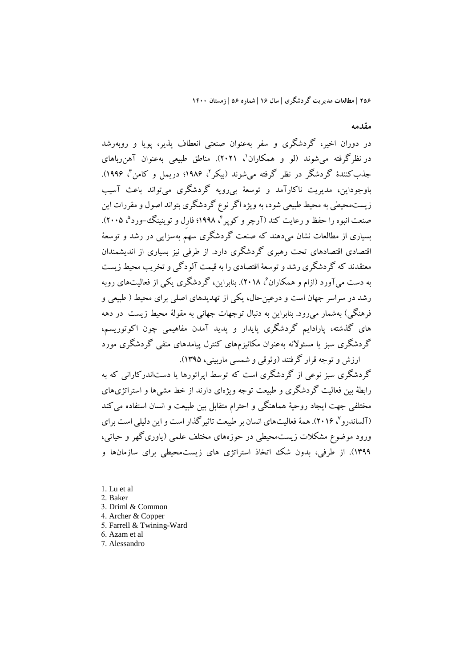**مقدمه**

در دوران اخير، گردشگری و سفر بهعنوان صنعتي انعطاف پذير، پويا و روبهرشد در نظرگرفته میشوند (لو و همکاران'، ۲۰۲۱). مناطق طبیعی بهعنوان آهنرباهای جذب کنندۀ گردشگر در نظر گرفته میشوند (بیکر'، ۱۹۸۶؛ دریمل و کامن'، ۱۹۹۶). باوجوداين، مديريت ناکارآمد و توسعة بيرويه گردشگری ميتواند باعث آسيب زيستمحيطي به محيط طبيعي شود، به ويژه اگر نوع گردشگري بتواند اصول و مقررات اين صنعت انبوه را حفظ و رعايت کند (آرچر و کوپر۲، ۱۹۹۸؛ فارِل و توينينگ-ورد°، ۲۰۰۵). بسياری از مطالعات نشان ميدهند که صنعت گردشگری سهم بهسزايي در رشد و توسعة اقتصادی اقتصادهای تحت رهبری گردشگری دارد. از طرفي نيز بسياری از انديشمندان معتقدند که گردشگری رشد وتوسعة اقتصادی را به قيمت آلودگي وتخريب محيط زيست به دست میآورد (ازام و همکاران<sup>،</sup> ۲۰۱۸). بنابراین، گردشگری یکی از فعالیتهای روبه رشد در سراسر جهان است و درعينحال، يکي از تهديدهای اصلي برای محيط ) طبيعي و فرهنگي) بهشمار ميرود. بنابراين به دنبال توجهات جهاني به مقولهٔ محيط زيست ًدر دهه های گذشته، پارادايم گردشگری پايدار و پديد آمدن مفاهيمي چون اکوتوريسم، گردشگری سبز يا مسئوالنه بهعنوان مکانيزمهای کنترل پيامدهای منفي گردشگری مورد ارزش و توجه قرار گرفتند (وثوقي و شمسي ماربيني، ۱۳۹۵).

گردشگری سبز نوعي از گردشگری است که توسط اپراتورها يا دستاندرکاراني که به رابطة بين فعاليت گردشگری و طبيعت توجه ويژهای دارند از خط مشيها و استراتژیهای مختلفي جهت ايجاد روحية هماهنگي و احترام متقابل بين طبيعت و انسان استفاده ميکند تالساندرو<sup>۷</sup>، ۲۰۱۶). همهٔ فعاليتهای انسان بر طبيعت تاثيرگذار است و اين دليلي است برای ورود موضوع مشکالت زيستمحيطي در حوزههای مختلف علمي )ياوریگهر و حياتي، 1399(. از طرفي، بدون شک اتخاذ استراتژی های زيستمحيطي برای سازمانها و

1. Lu et al

<sup>2.</sup> Baker

<sup>3.</sup> Driml & Common

<sup>4.</sup> Archer & Copper

<sup>5.</sup> Farrell & Twining-Ward

<sup>6.</sup> Azam et al

<sup>7.</sup> Alessandro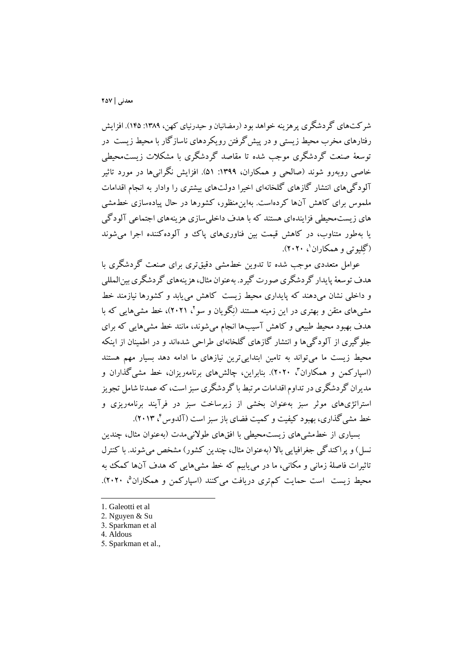شرکتهای گردشگری پرهزينه خواهد بود (رمضانيان و حيدرنيای کهن، ١٣٨٩: ١۴۵). افزايش رفتارهای مخرب محيط زيستي و در پيشگرفتن رويکردهای ناسازگار با محيط زيست در توسعة صنعت گردشگری موجب شده تا مقاصد گردشگری با مشکالت زيستمحيطي خاصي روبهرو شوند (صالحي و همکاران، ١٣٩٩: ۵۱). افزايش نگرانيها در مورد تاثير آلودگيهای انتشار گازهای گلخانهای اخيرا دولتهای بيشتری را وادار به انجام اقدامات ملموس برای کاهش آنها کردهاست. بهاينمنظور، کشورها در حال پيادهسازی خطمشي های زيستمحيطي فزايندهای هستند که با هدف داخليسازی هزينههای اجتماعي آلودگي يا بهطور متناوب، در کاهش قيمت بين فناوریهای پاک و آلودهکننده اجرا ميشوند (گِليوتي و همکاران'، ۲۰۲۰).

عوامل متعددی موجب شده تا تدوين خطمشي دقيقتری برای صنعت گردشگری با هدف توسعةپايدار گردشگری صورت گيرد. بهعنوان مثال، هزينههایگردشگریبينالمللي و داخلي نشان ميدهند که پايداری محيط زيست کاهش مييابد و کشورها نيازمند خط مشی،های متقن و بهتری در این زمینه هستند (نِگویان و سو ٔ، ۲۰۲۱)، خط مشی،هایی که با هدف بهبود محيط طبيعي و کاهش آسيبها انجام ميشوند، مانند خط مشيهايي که برای جلوگيری از آلودگيها و انتشار گازهای گلخانهای طراحي شدهاند و در اطمينان از اينکه محيط زيست ما ميتواند به تامين ابتداييترين نيازهای ما ادامه دهد بسيار مهم هستند (اسپارکمن و همکاران<sup>۲</sup>، ۲۰۲۰). بنابراین، چالشهای برنامهریزان، خط مشی گذاران و مديران گردشگریدرتداوماقدامات مرتبط با گردشگری سبز است، که عمدتا شامل تجويز استراتژیهای موثر سبز بهعنوان بخشي از زيرساخت سبز در فرآيند برنامهريزی و خط مشی گذاری، بهبود کیفیت و کمیت فضای باز سبز است (آلدوس <sup>۲</sup>، ۲۰۱۳).

بسياری از خطمشيهای زيستمحيطي با افقهای طوالنيمدت )بهعنوان مثال، چندين نسل) و پراکندگي جغرافيايي بالا (بهعنوان مثال، چندين کشور) مشخص مي شوند. با کنترل تاثيرات فاصلة زماني و مکاني، ما در مييابيم که خط مشيهايي که هدف آنها کمک به محیط زیست است حمایت کم تری دریافت میکنند (اسپارکمن و همکاران<sup>م</sup>، ۲۰۲۰).

-

5. Sparkman et al.,

<sup>1.</sup> Galeotti et al

<sup>2.</sup> Nguyen & Su

<sup>3.</sup> Sparkman et al

<sup>4.</sup> Aldous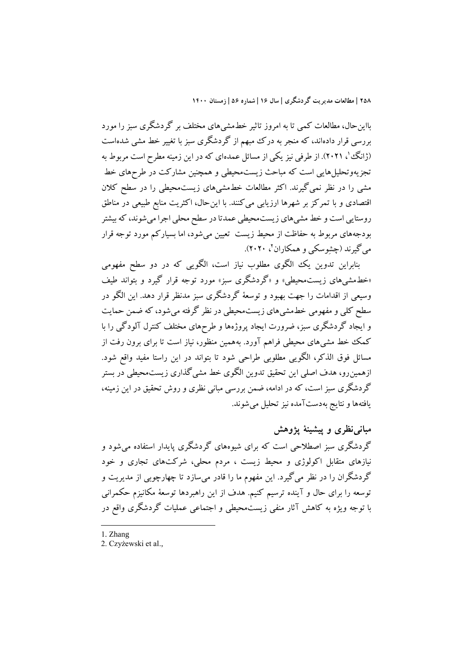بااينحال، مطالعات کمي تا به امروز تاثير خطمشيهای مختلف بر گردشگری سبز را مورد بررسي قرار دادهاند، که منجر به درک مبهم از گردشگری سبز با تغيير خط مشي شدهاست (ژانگ `، ۲۰۲۱). از طرفی نيز يکی از مسائل عمدهای که در اين زمينه مطرح است مربوط به تجزيهوتحليلهايي است که مباحث زيستمحيطي و همچنين مشارکت در طرحهای خط مشي را در نظر نميگيرند. اکثر مطالعات خطمشيهای زيستمحيطي را در سطح کالن اقتصادی و با تمرکز بر شهرها ارزيابي ميکنند. با اينحال، اکثريت منابع طبيعي در مناطق روستايي است و خط مشيهای زيستمحيطي عمدتا در سطح محلي اجرا ميشوند، که بيشتر بودجههای مربوط به حفاظت از محيط زيست تعيين ميشود، اما بسيارکم مورد توجه قرار میگیرند (چشِوسکی و همکاران '، ۲۰۲۰).

بنابراين تدوين يک الگوی مطلوب نياز است، الگويي که در دو سطح مفهومي »خطمشيهای زيستمحيطي« و »گردشگری سبز« مورد توجه قرار گيرد و بتواند طيف وسيعي از اقدامات را جهت بهبود و توسعة گردشگری سبز مدنظر قرار دهد. اين الگو در سطح کلي و مفهومي خطمشيهای زيستمحيطي در نظر گرفته ميشود، که ضمن حمايت و ايجاد گردشگری سبز، ضرورت ايجاد پروژهها و طرشهای مختلف کنترل آلودگي را با کمک خط مشيهای محيطي فراهم آورد. بههمين منظور، نياز است تا برای برون رفت از مسائل فوق الذکر، الگويي مطلوبي طراحي شود تا بتواند در اين راستا مفيد واقع شود. ازهمينرو، هدف اصلي اين تحقيق تدوين الگوی خط مشيگذاری زيستمحيطي در بستر گردشگری سبز است، که در ادامه، ضمن بررسي مباني نظری و روش تحقيق در اين زمينه، يافتهها و نتايج بهدستآمده نيز تحليل ميشوند.

**مبانينظري و پیشینة پژوهش** گردشگری سبز اصطالحي است که برای شيوههای گردشگری پايدار استفاده ميشود و نيازهای متقابل اکولوژی و محيط زيست ، مردم محلي، شرکتهای تجاری و خود گردشگران را در نظر ميگيرد. اين مفهوم ما را قادر ميسازد تا چهارچوبي از مديريت و توسعه را برای حال و آينده ترسيم کنيم. هدف از اين راهبردها توسعة مکانيزم حکمراني با توجه ويژه به کاهش آثار منفي زيستمحيطي و اجتماعي عمليات گردشگری واقع در

1. Zhang

<sup>2.</sup> Czyżewski et al.,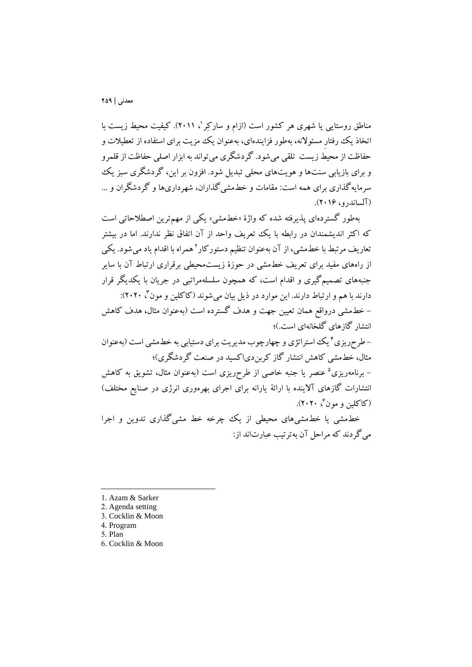مناطق روستايى يا شهرى هر کشور است (ازام و سارکِر '، ۲۰۱۱). کيفيت محيط زيست با اتخاذ يک رفتارِ مسئوالنه، بهطور فزايندهای، بهعنوان يک مزيت برای استفاده از تعطيالت و حفاظت از محيط زيست تلقي ميشود. گردشگری ميتواند به ابزار اصلي حفاظت از قلمرو و برای بازيابي سنتها و هويتهای محلي تبديل شود. افزون بر اين، گردشگری سبز يک سرمايهگذاری برای همه است: مقامات و خطمشيگذاران، شهرداریها و گردشگران و ... )آلساندرو، 201۶(.

بهطور گستردهای پذيرفته شده که واژۀ »خطمشي« يکي از مهمترين اصطالحاتي است که اکثر انديشمندان در رابطه با يک تعريف واحد از آن اتفاق نظر ندارند. اما در بيشتر نعاريف مرتبط با خطـمشى، از آن بهعنوان تنظيم دستورکار`همراه با اقدام ياد مىشود. يکى از راههای مفيد برای تعريف خطمشي در حوزۀ زيستمحيطي برقراری ارتباط آن با ساير جنبههای تصميمگيری و اقدام است، که همچون سلسلهمراتبي در جريان با يکديگر قرار دارند با هم و ارتباط دارند. اين موارد در ذيل بيان مي شوند (کاکلين و مون<sup>۲</sup>، ۲۰۲۰): – خطـمشي درواقع همان تعيين جهت و هدف گسترده است (بهعنوان مثال، هدف کاهش انتشار گازهای گلخانهای است.)؛

– طرحریزی <sup>۲</sup> یک استراتژی و چهارچوب مدیریت برای دستیابی به خطمشی است (بهعنوان مثال، خطمشي کاهش انتشار گاز کربندیاکسيد در صنعت گردشگری(؛ – برنامهریزی<sup>ه</sup> عنصر یا جنبه خاصی از طرحریزی است (بهعنوان مثال، تشویق به کاهش انتشارات گازهای آلاینده با ارائهٔ یارانه برای اجرای بهرهوری انرژی در صنایع مختلف) (کاکلین و مون<sup>،</sup>، ۲۰۲۰).

خطمشي يا خطمشيهای محيطي از يک چرخه خط مشيگذاری تدوين و اجرا ميگردند که مراحل آن بهترتيب عبارتاند از:

- 1. Azam & Sarker
- 2. Agenda setting
- 3. Cocklin & Moon
- 4. Program
- 5. Plan

1

6. Cocklin & Moon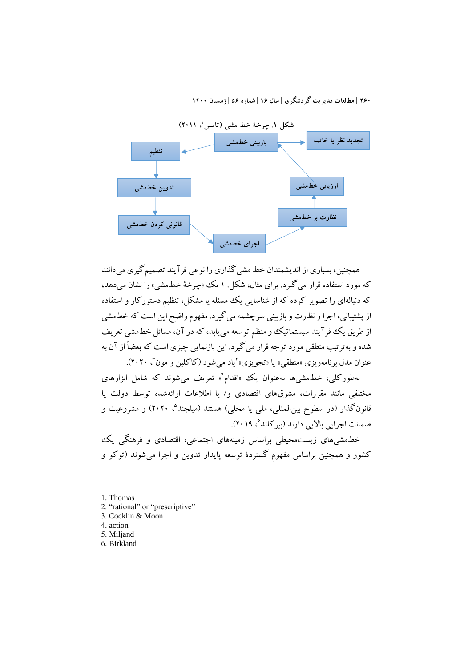

همچنين، بسياری از انديشمندان خط مشيگذاری را نوعي فرآيند تصميمگيری ميدانند که مورد استفاده قرار ميگيرد. برای مثال، شکل. 1 يک »چرخة خطمشي« را نشان ميدهد، که دنبالهای را تصوير کرده که از شناسايي يک مسئله يا مشکل، تنظيم دستورکار و استفاده از پشتيباني، اجرا و نظارت و بازبيني سرچشمه ميگيرد. مفهوم واضح اين است که خطمشي از طريق يک فرآيند سيستماتيک و منظم توسعه مي يابد، که در آن، مسائل خطمشي تعريف شده و بهترتيب منطقي مورد توجه قرار ميگيرد. اين بازنمايي چيزی است که بعضاً از آن به عنوان مدل برنامهریزی «منطقی» یا «تجویزی»<sup>۲</sup>یاد میشود (کاکلین و مون<sup>۲</sup>، ۲۰۲۰).

بهطورکلي، خطمشي ها بهعنوان يک «اقدام<sup>۴</sup>» تعريف مي شوند که شامل ابزارهاي مختلفي مانند مقررات، مشوقهای اقتصادی و/ يا اطالعات ارائهشده توسط دولت يا قانونگذار (در سطوح بينالمللی، مل<sub>ی</sub> يا محلی) هستند (ميلجند<sup>۵</sup>، ۲۰۲۰) و مشروعيت و ضمانت اجرايي بالايي دارند (بيركلند<sup>ع</sup>، ۲۰۱۹).

خطمشيهای زيستمحيطي براساس زمينههای اجتماعي، اقتصادی و فرهنگي يک کشور و همچنين براساس مفهوم گستردۀ توسعه پايدار تدوين و اجرا ميشوند )توکو و

1. Thomas

1

- 2. "rational" or "prescriptive"
- 3. Cocklin & Moon
- 4. action
- 5. Miljand
- 6. Birkland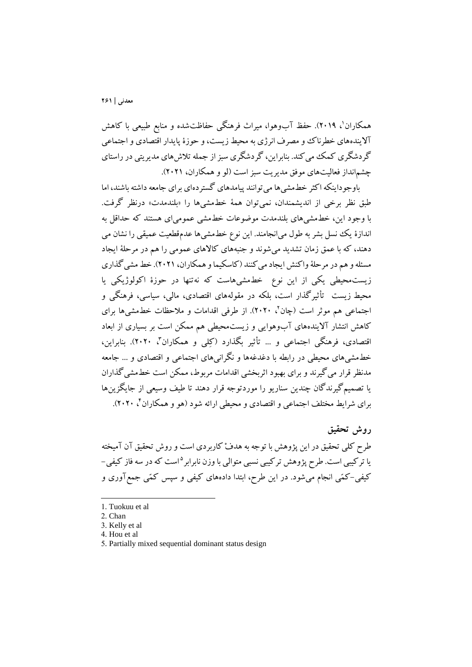همکاران'، ۲۰۱۹). حفظ آبوهوا، ميراث فرهنگي حفاظتشده و منابع طبيعي با کاهش آاليندههای خطرناک ومصرف انرژی به محيط زيست،و حوزۀ پايدار اقتصادی واجتماعي گردشگری کمک مي کند. بنابراين، گردشگری سبز از جمله تلاش های مديريتي در راستای چشمانداز فعاليتهای موفق مديريت سبز است (لو و همکاران، ۲۰۲۱).

باوجوداينکه اکثر خطمشيها ميتوانند پيامدهای گستردهای برای جامعه داشته باشند، اما طبق نظر برخي از انديشمندان، نميتوان همهٔ خطمشيها را «بلندمدت» درنظر گرفت. با وجود اين، خطمشيهای بلندمدت موضوعات خطمشي عموميای هستند که حداقل به اندازۀ يک نسل بشر به طول ميانجامند. اين نوع خطمشيها عدمقطعيت عميقي را نشان مي دهند، که با عمق زمان تشديد ميشوند و جنبههای کاالهای عمومي را هم در مرحلة ايجاد مسئله و هم در مرحلهٔ واکنش ايجاد مي کنند (کاسکيما و همکاران، ٢٠٢١). خط مشي گذاري زيستمحيطي يکي از اين نوع خطمشيهاست که نهتنها در حوزۀ اکولوژيکي يا محيط زيست تأثيرگذار است، بلکه در مقولههای اقتصادی، مالي، سياسي، فرهنگي و اجتماعی هم موثر است (چان'، ۲۰۲۰). از طرفی اقدامات و ملاحظات خطمشیها برای کاهش انتشار آاليندههای آبوهوايي و زيستمحيطي هم ممکن است بر بسياری از ابعاد اقتصادی، فرهنگی اجتماعی و … تأثیر بگذارد (کِلِی و همکاران<sup>۲</sup>، ۲۰۲۰). بنابراین، خطمشيهای محيطي در رابطه با دغدغهها و نگرانيهای اجتماعي و اقتصادی و ... جامعه مدنظر قرار ميگيرند و برای بهبود اثربخشي اقدامات مربوط، ممکن است خطمشيگذاران يا تصميمگيرندگان چندين سناريو را موردتوجه قرار دهند تا طيف وسيعي از جايگزينها برای شرایط مختلف اجتماعی و اقتصادی و محیطی ارائه شود (هو و همکاران<sup>۲</sup>، ۲۰۲۰).

**روش تحقیق** طرح کلي تحقيق در اين پژوهش با توجه به هدفْ کاربردی است و روش تحقيق آن آميخته ۵ يا ترکيبي است. طرش پژوهش ترکيبي نسبي متوالي باوزن نابرابر است که در سه فاز کيفي- کيفي-کمّي انجام ميشود. در اين طرش، ابتدا دادههای کيفي و سپس کمّي جمعآوری و

<sup>1.</sup> Tuokuu et al

<sup>2.</sup> Chan

<sup>3.</sup> Kelly et al

<sup>4.</sup> Hou et al

<sup>5.</sup> Partially mixed sequential dominant status design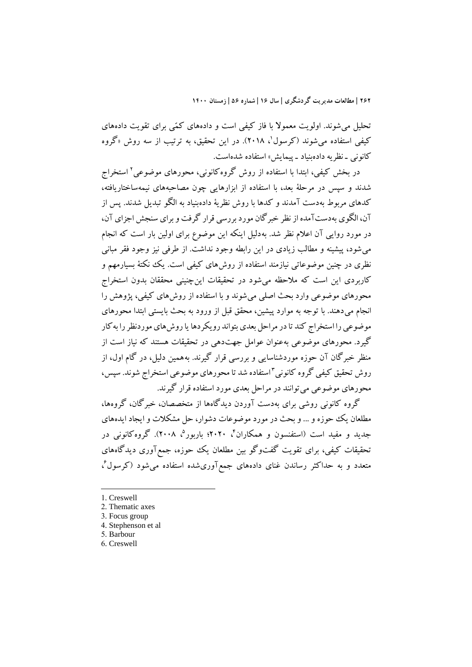تحليل ميشوند. اولويت معموال با فاز کيفي است و دادههای کمّي برای تقويت دادههای کیفی استفاده میشوند (کرسول'، ۲۰۱۸). در این تحقیق، به ترتیب از سه روش «گروه کانوني - نظريه دادهبنياد - پيمايش» استفاده شدهاست.

در بخش کيفي، ابتدا با استفاده از روش گروهکانوني، محورهای موضوعي 2 استخراج شدند و سپس در مرحلة بعد، با استفاده از ابزارهايي چون مصاحبههای نيمهساختاريافته، کدهای مربوط بهدست آمدند و کدها با روش نظرية دادهبنياد به الگو تبديل شدند. پس از آن، الگوی بهدستآمده ازنظر خبرگان مورد بررسي قرار گرفت وبرای سنجش اجزای آن، در مورد روايي آن اعالم نظر شد. بهدليل اينکه اين موضوع برای اولين بار است که انجام ميشود، پيشينه و مطالب زيادی در اين رابطه وجود نداشت. از طرفي نيز وجود فقر مباني نظری در چنين موضوعاتي نيازمند استفاده از روشهای کيفي است. يک نکتهٔ بسيارمهم و کاربردی اين است که مالحظه ميشود در تحقيقات اينچنيني محققان بدون استخراج محورهای موضوعي وارد بحث اصلي ميشوند و با استفاده از روشهای کيفي، پژوهش را انجام ميدهند. با توجه به موارد پيشين، محقق قبل از ورود به بحث بايستي ابتدا محورهای موضوعي را استخراج کند تا در مراحل بعدی بتواند رويکردها يا روشهای موردنظر را بهکار گيرد. محورهای موضوعي بهعنوان عوامل جهتدهي در تحقيقات هستند که نياز است از منظر خبرگان آن حوزه موردشناسايي و بررسي قرار گيرند. بههمين دليل، در گام اول، از روش تحقیق کیفی گروه کانونی<sup>۲</sup>استفاده شد تا محورهای موضوعی استخراج شوند. سپس، محورهای موضوعي ميتوانند در مراحل بعدی مورد استفاده قرار گيرند.

گروه کانوني روشي برای بهدست آوردن ديدگاهها از متخصصان، خبرگان، گروهها، مطلعان يک حوزه و ... و بحث در مورد موضوعات دشوار، حل مشکالت و ايجاد ايدههای جديد و مفيد است (استفنسون و همکاران<sup>۲</sup>، ۲۰۲۰؛ باربور<sup>۵</sup>، ۲۰۰۸). گروهکانونی در تحقيقات کيفي، برای تقويت گفتوگو بين مطلعان يک حوزه، جمعآوری ديدگاههای متعدد و به حداکثر رساندن غنای دادههای جمعآوریشده استفاده میشود (کرسول<sup>،</sup>،

1. Creswell

1

- 2. Thematic axes
- 3. Focus group
- 4. Stephenson et al
- 5. Barbour
- 6. Creswell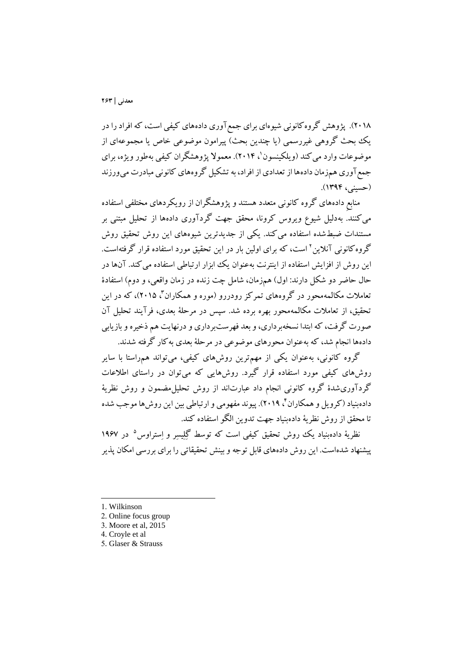2018(. پژوهش گروهکانوني شيوهای برای جمعآوری دادههای کيفي است، کهافرادرا در يک بحث گروهي غيررسمي (يا چندين بحث) پيرامون موضوعي خاص يا مجموعهای از موضوعات وارد می کند (ویلکینسون'، ۲۰۱۴). معمولاً پژوهشگران کیفی بهطور ویژه، برای جمعآوری همزمان دادهها از تعدادی از افراد، به تشکيل گروههای کانوني مبادرت ميورزند )حسيني، 139۴(.

منابعِ دادههای گروه کانوني متعدد هستند و پژوهشگران از رويکردهای مختلفي استفاده ميکنند. بهدليل شيوع ويروس کرونا، محقق جهت گردآوری دادهها از تحليل مبتني بر مستندات ضبطشده استفاده ميکند. يکي از جديدترين شيوههای اين روش تحقيق روش گروه کانونی آنلاین ' است، که برای اولین بار در این تحقیق مورد استفاده قرار گرفتهاست. اين روش از افزايش استفاده از اينترنت بهعنوان يک ابزار ارتباطي استفاده ميکند. آنها در حال حاضر دو شکل دارند: اول) همزمان، شامل چت زنده در زمان واقعی، و دوم) استفادۀ نعاملات مکالمهمحور در گروههای تمرکز رودررو (موره و همکاران<sup>۲</sup>، ۲۰۱۵)، که در این تحقيق، از تعامالت مکالمهمحور بهره برده شد. سپس در مرحلة بعدی، فرآيند تحليل آن صورت گرفت، که ابتدا نسخهبرداری، و بعد فهرستبرداری و درنهايت هم ذخيره و بازيابي دادهها انجام شد، که بهعنوان محورهای موضوعي در مرحلة بعدی بهکار گرفته شدند.

گروه کانوني، بهعنوان يکي از مهمترين روشهای کيفي، ميتواند همراستا با ساير روشهای کيفي مورد استفاده قرار گيرد. روشهايي که ميتوان در راستای اطالعات گردآوریشدۀ گروه کانوني انجام داد عبارتاند از روش تحليلمضمون و روش نظرية دادهبنياد (کرويل و همکاران <sup>۲</sup>، ۲۰۱۹). پيوند مفهومي و ارتباطي بين اين روشها موجب شده تا محقق از روش نظرية دادهبنياد جهت تدوين الگو استفاده کند.

نظريهٔ دادهبنياد يک روش تحقيق کيفی است که توسط گِلِيسِر و اِستراوس ° در ۱۹۶۷ پيشنهاد شدهاست. اين روش دادههای قابل توجهوبينش تحقيقاتي را برای بررسي امکان پذير

-

5. Glaser & Strauss

<sup>1.</sup> Wilkinson

<sup>2.</sup> Online focus group

<sup>3.</sup> Moore et al, 2015

<sup>4.</sup> Croyle et al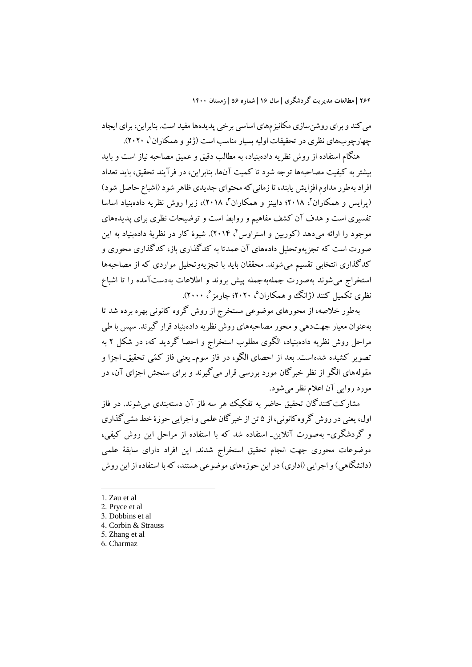مي کند و برای روشن سازی مکانيز مهای اساسي برخي پديدهها مفيد است. بنابراين، برای ايجاد چهارچوبهای نظری در تحقیقات اولیه بسیار مناسب است (ژئو و همکاران'، ۲۰۲۰).

هنگام استفاده از روش نظريه دادهبنياد، به مطالب دقيق و عميق مصاحبه نياز است و بايد بيشتر به کيفيت مصاحبهها توجه شود تا کميت آنها. بنابراين، در فرآيند تحقيق، بايد تعداد افراد بهطور مداوم افزايش يابند، تا زماني که محتوای جديدی ظاهر شود (اشباع حاصل شود) (پرايس و همکاران'، ۲۰۱۸؛ دابينز و همکاران'، ۲۰۱۸)، زيرا روش نظريه دادهبنياد اساسا تفسيری است و هدف آن کشف مفاهيم و روابط است و توضيحات نظری برای پديدههای موجود را ارائه مىدهد (کوربين و استراوس C (۲۰۱۴). شيوۀ کار در نظريۀ دادهبنياد به اين صورت است که تجزيهوتحليل دادههای آن عمدتا به کدگذاری باز، کدگذاری محوری و کدگذاری انتخابي تقسيم ميشوند. محققان بايد با تجزيهوتحليل مواردی که از مصاحبهها استخراج ميشوند بهصورت جملهبهجمله پيش بروند و اطالعات بهدستآمده را تا اشباع نظری تکمیل کنند (ژانگ وو همکاران<sup>۵</sup>، ۲۰۲۰؛ چارمز<sup>م</sup>، ۲۰۰۰).

بهطور خالصه، از محورهای موضوعي مستخرج از روش گروه کانوني بهره برده شد تا بهعنوان معيار جهتدهي و محور مصاحبههای روش نظريه دادهبنياد قرار گيرند. سپس با طي مراحل روش نظريه دادهبنياد، الگوی مطلوب استخراج و احصا گرديد که، در شکل 2 به تصوير کشيده شدهاست. بعد از احصای الگو، در فاز سومـ يعني فاز کمّي تحقيقـ اجزا و مقولههای الگو از نظر خبرگان مورد بررسي قرار ميگيرند و برای سنجش اجزای آن، در مورد روايي آن اعالم نظر ميشود.

مشارکت کنندگان تحقيق حاضر به تفکيک هر سه فاز آن دستهبندی مي شوند. در فاز اول، يعني در روش گروهکانوني، از ۵ تن از خبرگان علمي و اجرايي حوزۀ خط مشيگذاری و گردشگری- بهصورت آنلاين- استفاده شد که با استفاده از مراحل اين روش کيفي، موضوعات محوری جهت انجام تحقيق استخراج شدند. اين افراد دارای سابقة علمي (دانشگاهي) و اجرايي (اداري) در اين حوزههای موضوعي هستند، که با استفاده از اين روش

1. Zau et al

1

- 2. Pryce et al
- 3. Dobbins et al
- 4. Corbin & Strauss 5. Zhang et al
- 6. Charmaz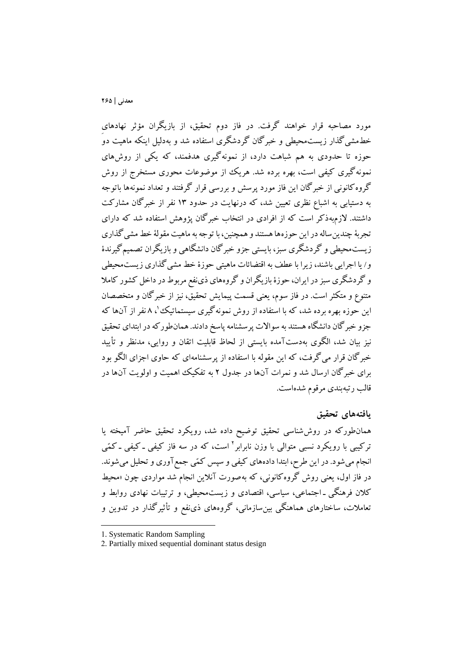مورد مصاحبه قرار خواهند گرفت. در فاز دوم تحقيق، از بازيگران مؤثر نهادهایِ خطمشيگذار زيستمحيطي و خبرگان گردشگری استفاده شد و بهدليل اينکه ماهيت دو حوزه تا حدودی به هم شباهت دارد، از نمونهگيری هدفمند، که يکي از روشهای نمونهگيری کيفي است، بهره برده شد. هريک از موضوعات محوری مستخرج از روش گروهکانوني از خبرگان اين فاز مورد پرسش و بررسي قرار گرفتند و تعداد نمونهها باتوجه به دستيابي به اشباع نظری تعيين شد، که درنهايت در حدود 13 نفر از خبرگان مشارکت داشتند. الزمبهذکر است که از افرادی در انتخاب خبرگان پژوهش استفاده شد که دارای تجربة چندينساله در اين حوزهها هستند و همچنين، با توجه به ماهيت مقولة خط مشيگذاری زيستمحيطي و گردشگری سبز، بايستي جزو خبرگان دانشگاهي و بازيگران تصميمگيرندۀ و/ يا اجرايي باشند، زيرا با عطف به اقتضائات ماهيتي حوزۀ خط مشيگذاری زيستمحيطي و گردشگری سبز در ايران، حوزۀ بازيگران و گروههای ذینفع مربوط در داخل کشور کامال متنوع و متکثر است. در فاز سوم، يعني قسمت پيمايش تحقيق، نيز از خبرگان و متخصصان این حوزه بهره برده شد، که با استفاده از روش نمونه گیری سیستماتیک<sup>ی ۱</sup>، ۸ نفر از آنها که جزو خبرگان دانشگاه هستند به سوالات پرسشنامه پاسخ دادند. همانطورکه در ابتدای تحقيق نيز بيان شد، الگوی بهدستآمده بايستي از لحاظ قابليت اتقان و روايي، مدنظر و تأييد خبرگان قرار ميگرفت، که اين مقوله با استفاده از پرسشنامهای که حاوی اجزای الگو بود برای خبرگان ارسال شد و نمرات آنها در جدول 2 به تفکيک اهميت و اولويت آنها در قالب رتبهبندی مرقوم شدهاست.

#### **يافتههاي تحقیق**

همانطورکه در روششناسي تحقيق توضيح داده شد، رويکرد تحقيق حاضر آميخته يا نرکيبي با رويکرد نسبي متوالي با وزن نابرابر<sup>٬</sup> است، که در سه فاز کيفي ـ کيفي ـ کمّي انجام مي شود. در اين طرح، ابتدا دادههای کيفي و سپس کمّي جمع آوری و تحليل مي شوند. در فاز اول، يعني روش گروهکانوني، که بهصورت آنالين انجام شد مواردی چون »محيط کالن فرهنگي و اجتماعي، سياسي، اقتصادی و زيستمحيطي، و ترتيبات نهادی روابط و تعامالت، ساختارهای هماهنگي بينسازماني، گروههای ذینفع و تأثيرگذار در تدوين و

<sup>1.</sup> Systematic Random Sampling

<sup>2.</sup> Partially mixed sequential dominant status design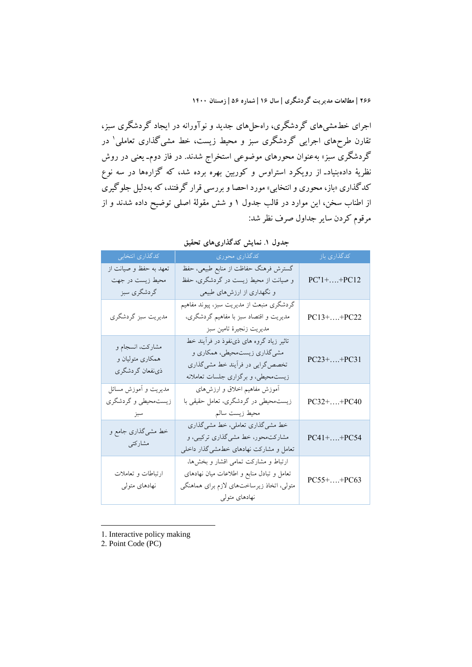اجرای خطمشيهای گردشگری، راهحلهای جديد و نوآورانه در ايجاد گردشگری سبز، نقارن طرحهای اجرایی گردشگری سبز و محیط زیست، خط مشیگذاری تعاملی' در گردشگری سبز» بهعنوان محورهای موضوعی استخراج شدند. در فاز دوم<sub>-</sub> یعنی در روش نظريهٔ دادهبنيادـ از رويکرد استراوس و کوربين بهره برده شد، که گزارهها در سه نوع کدگذاری »باز، محوری و انتخابي« مورد احصا و بررسي قرار گرفتند، که بهدليل جلوگيری از اطناب سخن، اين موارد در قالب جدول 1 و شش مقولة اصلي توضيح داده شدند و از مرقوم کردن ساير جداول صرف نظر شد:

|                                                           | <b>U.</b><br>.                                                                                                                                       |                           |
|-----------------------------------------------------------|------------------------------------------------------------------------------------------------------------------------------------------------------|---------------------------|
| كدگذاري انتخابي                                           | است کدگذاری محوری                                                                                                                                    | کدگذاری باز               |
| تعهد به حفظ و صیانت از<br>محیط زیست در جهت<br>گردشگري سبز | گسترش فرهنگ حفاظت از منابع طبیعی، حفظ<br>و صیانت از محیط زیست در گردشگری، حفظ<br>و نگهداری از ارزشهای طبیعی                                          | $PC^{\dagger}1 +  + PC12$ |
| مديريت سبز گردشگري                                        | گردشگری منبعث از مدیریت سبز، پیوند مفاهیم<br>مدیریت و اقتصاد سبز با مفاهیم گردشگری،<br>مديريت زنجيرة تامين سبز                                       | $PC13 +  + PC22$          |
| مشارکت، انسجام و<br>همکاری متولیان و<br>ذىنفعان گردشگرى   | تاثیر زیاد گروه های ذی:فوذ در فرآیند خط<br>مشي گذاري زيست.حيطي، همکاري و<br>تخصص گرایی در فرأیند خط مشی گذاری<br>زیست.حیطی، و برگزاری جلسات تعاملانه | $PC23++PC31$              |
| مديريت و أموزش مسائل<br>زیستمحیطی و گردشگری<br>سبز        | آموزش مفاهیم اخلاق و ارزشهای<br>زیست.حیطی در گردشگری، تعامل حقیقی با<br>محيط زيست سالم                                                               | PC32++PC40                |
| خط مشیگذاری جامع و<br>مشاركتي                             | خط مشی گذاری تعاملی، خط مشی گذاری<br>مشارکتمحور، خط مشی گذاری ترکیبی، و<br>تعامل و مشارکت نهادهای خطمشی گذار داخلی                                   | $PC41++PC54$              |
| ارتباطات و تعاملات<br>نهادهای متولی                       | ارتباط و مشاركت تمامى اقشار و بخشها،<br>تعامل و تبادل منابع و اطلاعات میان نهادهای<br>متولی، اتخاذ زیرساختهای لازم برای هماهنگی<br>نهادهای متولی     | PC55++PC63                |

**جدول .1 نمايش کدگذاريهاي تحقیق**

1. Interactive policy making

2. Point Code (PC)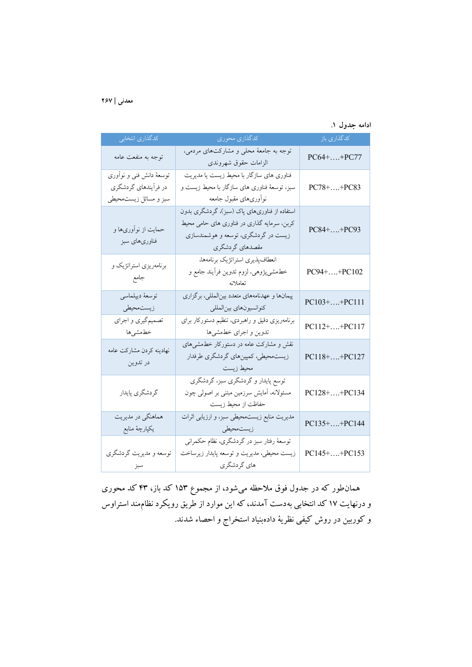| ادامه جدول ۱. |  |  |
|---------------|--|--|
|               |  |  |

| كدگذاري انتخابي                                                           | كدگذاري محوري                                                                                                                                        | كدگذارى باز      |
|---------------------------------------------------------------------------|------------------------------------------------------------------------------------------------------------------------------------------------------|------------------|
| توجه به منفعت عامه                                                        | توجه به جامعهٔ محلی و مشارکتهای مردمی،<br>الزامات حقوق شهروندى                                                                                       | $PC64++PC77$     |
| توسعهٔ دانش فنی و نوآوری<br>در فرایندهای گردشگری<br>سبز و مسائل زیستمحیطی | فناوری های سازگار با محیط زیست یا مدیریت<br>سبز، توسعهٔ فناوری های سازگار با محیط زیست و<br>نوأورىهاى مقبول جامعه                                    | $PC78 +  + PC83$ |
| حمایت از نوآوریها و<br>فناوریهای سبز                                      | استفاده از فناوریهای پاک (سبز)، گردشگری بدون<br>کربن، سرمایه گذاری در فناوری های حامی محیط<br>زیست در گردشگری، توسعه و هوشمندسازی<br>مقصدهای گردشگری | PC84++PC93       |
| برنامەریزی استراتژیک و<br>جامع                                            | انعطاف پذیری استراتژیک برنامهها،<br>خطمشیپژوهی، لزوم تدوین فرأیند جامع و<br>تعاملانه                                                                 | PC94++PC102      |
| توسعهٔ دیپلماسی<br>زيستمحيطي                                              | پیمانها و عهدنامههای متعدد بینالمللی، برگزاری<br>كنوانسيونهاي بينالمللي                                                                              | PC103++PC111     |
| تصمیمگیری و اجرای<br>خطمشىها                                              | برنامهریزی دقیق و راهبردی، تنظیم دستورکار برای<br>تدوین و اجرای خطمشیها                                                                              | $PC112++PC117$   |
| نهادينه كردن مشاركت عامه<br>در تدوين                                      | نقش و مشارکت عامه در دستورکار خطمشیهای<br>زیست محیطی، کمپینهای گردشگری طرفدار<br>محيط زيست                                                           | PC118++PC127     |
| گردشگري پايدار                                                            | توسع پایدار و گردشگری سبز، گردشگری<br>مسئولانه، آمایش سرزمین مبتنی بر اصولی چون<br>حفاظت از محیط زیست                                                | PC128++PC134     |
| هماهنگی در مدیریت<br>يكپارچۀ منابع                                        | مدیریت منابع زیستمحیطی سبز، و ارزیابی اثرات<br>زیست.حیطی                                                                                             | PC135++PC144     |
| توسعه و مديريت گردشگري<br>سبز                                             | توسعهٔ رفتار سبز در گردشگری، نظام حکمرانی<br>زیست محیطی، مدیریت و توسعه پایدار زیرساخت<br>های گردشگری                                                | PC145++PC153     |

همانطور که در جدول فوق مالحظه ميشود، از مجموع 1۵3 کد باز، ۴3 کد محوری و درنهايت 1۷ کد انتخابي بهدست آمدند، که اين موارد از طريق رويکرد نظاممند استراوس و کوربين در روش کيفي نظرية دادهبنياد استخراج و احصاء شدند.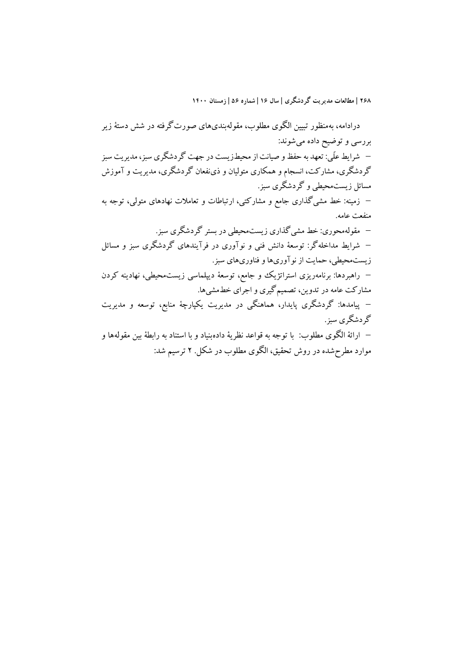درادامه، بهمنظور تبيين الگوی مطلوب، مقولهبندیهای صورتگرفته در شش دستة زير بررسي و توضيح داده ميشوند: شرايط علّي: تعهد به حفظو صيانت ازمحيطزيست در جهت گردشگری سبز، مديريت سبز گردشگری، مشارکت، انسجام و همکاری متوليان و ذینفعان گردشگری، مديريت و آموزش مسائل زيستمحيطي و گردشگری سبز. زمينه: خط مشيگذاری جامع و مشارکتي، ارتباطات و تعامالت نهادهای متولي، توجه به منفعت عامه. مقولهمحوری: خط مشيگذاری زيستمحيطي در بستر گردشگری سبز. شرايط مداخلهگر: توسعة دانش فني و نوآوری در فرآيندهای گردشگری سبز و مسائل زيستمحيطي، حمايت از نوآوریهاو فناوریهای سبز. راهبردها: برنامهريزی استراتژيک و جامع، توسعة ديپلماسي زيستمحيطي، نهادينه کردن مشارکت عامه در تدوين، تصميمگيری و اجرای خطمشيها. پيامدها: گردشگری پايدار، هماهنگي در مديريت يکپارچة منابع، توسعه و مديريت گردشگری سبز. ارائة الگوی مطلوب: با توجه به قواعد نظرية دادهبنياد و با استناد به رابطة بين مقولهها و موارد مطرحشده در روش تحقيق، الگوی مطلوب در شکل. ۲ ترسيم شد: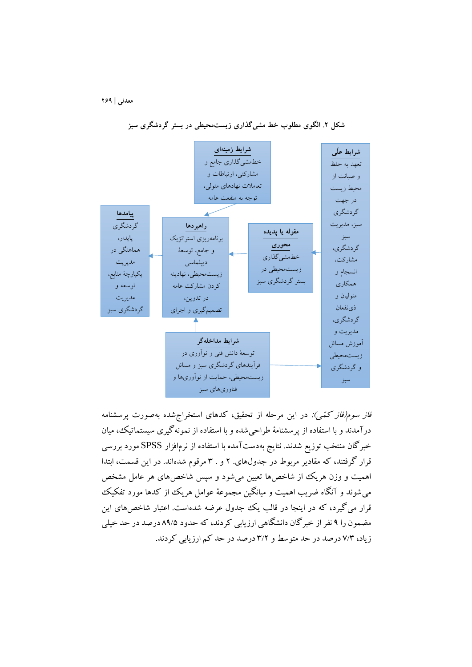

**شكل .2 الگوي مطلوب خط مشيگذاري زيستمحیطي در بستر گردشگري سبز**

فاز سوم فاز کمّی): در اين مرحله از تحقيق، کدهای استخراج شده بهصورت پرسشنامه درآمدند و با استفاده از پرسشنامة طراحيشده و با استفاده از نمونهگيری سيستماتيک، ميان خبرگان منتخب توزيع شدند. نتايج بهدستآمده با استفاده از نرمافزار SPSS مورد بررسي قرار گرفتند، که مقادير مربوط در جدولهای. 2 و . 3 مرقوم شدهاند. در اين قسمت، ابتدا اهميت و وزن هريک از شاخصها تعيين مي شود و سپس شاخصهای هر عامل مشخص ميشوند و آنگاه ضريب اهميت و ميانگين مجموعة عوامل هريک از کدها مورد تفکيک قرار ميگيرد، که در اينجا در قالب يک جدول عرضه شدهاست. اعتبار شاخصهای اين مضمون را 9 نفر از خبرگان دانشگاهي ارزيابي کردند، که حدود 89/۵ درصد در حد خيلي زياد، ۷/3 درصد در حد متوسط و 3/2 درصد در حد کم ارزيابي کردند.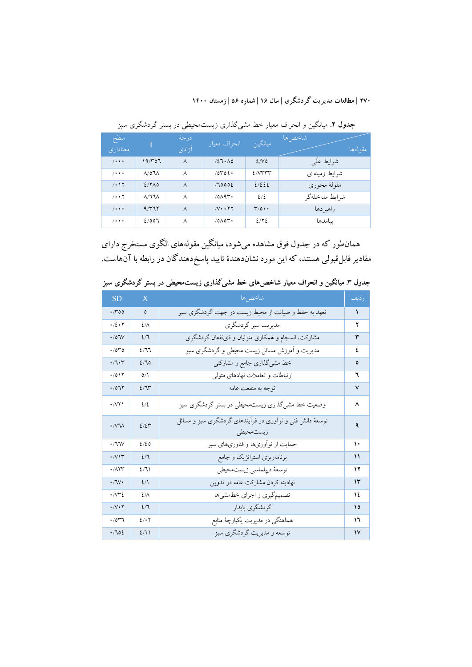| سطح<br>معناداری       | t.                      | درجة<br>آزادى | انحراف معيار      | ميانگين            | أشاخص ها<br>مقولهها |
|-----------------------|-------------------------|---------------|-------------------|--------------------|---------------------|
| $/ \cdot \cdot \cdot$ | ۱۹/۳۵٦                  | $\lambda$     | 127.00            | 2/V                | شرايط علّى          |
| $/ \cdot \cdot \cdot$ | $\Lambda$ /07 $\Lambda$ | $\lambda$     | 10000.            | 2/VTT              | شرايط زمينهاى       |
| $/ \cdot 17$          | $2/7\lambda$ 0          | $\lambda$     | 70002             | 2/222              | مقولهٔ محوری        |
| $/ \cdot \cdot 7$     | $\Lambda/\sim\Lambda$   | $\wedge$      | 10019             | 2/2                | شرايط مداخلهگر      |
| $/ \cdot \cdot \cdot$ | 9/777                   | $\lambda$     | $N \cdot \cdot Y$ | $\mathbf{r}_{0}$ . | راهبر دها           |
| $/ \cdot \cdot \cdot$ | 2/007                   | $\lambda$     | $10\Lambda$       | 2/72               | ىبامدها             |

**جدول .2** میانگین و انحراف معیار خط مشیگذاری زیستمحیطی در بستر گردشگری سبز

همانطور که در جدول فوق مشاهده ميشود، ميانگين مقولههای الگوی مستخرج دارای مقادير قابلقبولي هستند، که اين مورد نشاندهندۀ تاييد پاسخدهندگان در رابطه با آنهاست.

| <b>SD</b>                            | $\overline{X}$ | شاخصها                                                                 | رديف                 |
|--------------------------------------|----------------|------------------------------------------------------------------------|----------------------|
| $\cdot \pi$ 00                       | $\pmb{\circ}$  | تعهد به حفظ و صیانت از محیط زیست در جهت گردشگری سبز                    | $\sqrt{2}$           |
| $\cdot/2 \cdot 7$                    | $2/\lambda$    | مدیریت سبز گردشگری                                                     | ۲                    |
| $\cdot$ /07 $V$                      | 2/7            | مشارکت، انسجام و همکاری متولیان و ذینفعان گردشگری                      | ٣                    |
| $\cdot$ /070                         | 2/77           | مدیریت و آموزش مسائل زیست محیطی و گردشگری سبز                          | ٤                    |
| $\cdot$ / $\cdot$ $\cdot$            | 2/70           | خط مشی گذاری جامع و مشارکتی                                            | ٥                    |
| $\cdot/0$                            | 0/1            | ارتباطات و تعاملات نهادهای متولی                                       | ٦                    |
| .7077                                | 2/T            | توجه به منفعت عامه                                                     | ٧                    |
| $\cdot$ / $\vee$ $\vee$ $\wedge$     | ٤/٤            | وضعیت خط مشی گذاری زیست.حیطی در بستر گردشگری سبز                       | ۸                    |
| $\cdot$ $N\Lambda$                   | 2/24           | توسعهٔ دانش فنی و نوآوری در فرآیندهای گردشگری سبز و مسائل<br>زيستمحيطى | ٩                    |
| .77V                                 | 2/20           | حمایت از نوآوریها و فناوریهای سبز                                      | ١٠                   |
| $\cdot$ $\wedge$                     | 2/7            | برنامەریزی استراتژیک و جامع                                            | $\mathcal{L}$        |
| $\cdot$ / $\wedge$ $\wedge$ $\wedge$ | 2/11           | توسعهٔ دیپلماسی زیستمحیطی                                              | ۱۲                   |
| $\cdot$ /V $\cdot$                   | 2/1            | نهادینه کردن مشارکت عامه در تدوین                                      | $\mathsf{Y}^{\star}$ |
| $\cdot$ $\sim$ $\approx$             | $2/\lambda$    | تصمیم گیری و اجرای خطمشیها                                             | ١٤                   |
| $\cdot$ / $\vee$ $\cdot$ $\vee$      | 2/7            | گردشگرى پايدار                                                         | ۱٥                   |
| $\cdot$ /017                         | 2/47           | هماهنگی در مدیریت یکپارچهٔ منابع                                       | ۱٦                   |
| .702                                 | 2/11           | توسعه و مديريت گردشگري سبز                                             | $\mathsf{v}$         |

**جدول .3 میانگین و انحراف معیار شاخصهاي خط مشيگذاري زيستمحیطي در بستر گردشگري سبز**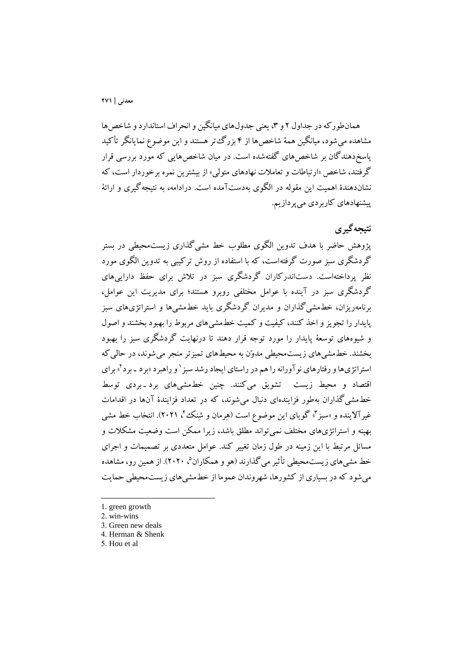همانطور که در جداول ۲ و ۳، يعني جدولهای ميانگين و انحراف استاندارد و شاخص ها مشاهده ميشود، ميانگين همة شاخصها از ۴ بزرگتر هستند و اين موضوع نمايانگر تأکيد پاسخدهندگان بر شاخص های گفتهشده است. در میان شاخص هایی که مورد بررسی قرار گرفتند، شاخص »ارتباطات و تعامالت نهادهای متولي« از بيشترين نمره برخوردار است، که نشاندهندۀ اهميت اين مقوله در الگوی بهدستآمده است. درادامه، به نتيجهگيری و ارائة پيشنهادهای کاربردی ميپردازيم.

## **نتیجهگیري**

پژوهش حاضر با هدف تدوين الگوی مطلوب خط مشيگذاری زيستمحيطي در بستر گردشگری سبز صورت گرفتهاست، که با استفاده از روش ترکيبي به تدوين الگوی مورد نظر پرداختهاست. دستاندرکاران گردشگری سبز در تالش برای حفظ داراييهای گردشگری سبز در آينده با عوامل مختلفي روبرو هستند؛ برای مديريت اين عوامل، برنامهريزان، خطمشيگذاران و مديران گردشگری بايد خطمشيها و استراتژیهای سبز پايدار را تجويز و اخذ کنند، کيفيت و کميت خطمشيهای مربوط را بهبود بخشند و اصول و شيوههای توسعة پايدار را مورد توجه قرار دهند تا درنهايت گردشگری سبز را بهبود بخشند. خطمشيهای زيستمحيطي مدوّن به محيطهای تميزتر منجر ميشوند، در حاليکه استراتژیها و رفتارهای نوآورانه را هم در راستای ایجاد رشد سبز <sup>۱</sup> و راهبرد «برد ـ برد آ» برای اقتصاد و محيط زيست تشويق ميکنند. چنين خطمشيهای برد و بردی توسط خطمشيگذاران بهطور فزايندهای دنبال ميشوند، که در تعداد فزايندۀ آنها در اقدامات غير آلاينده و «سبز"، گويای اين موضوع است (هِرمان و شِنک ًا، ۲۰۲۱). انتخاب خط مشي بهينه و استراتژیهای مختلف نميتواند مطلق باشد، زيرا ممکن است وضعيت مشکالت و مسائل مرتبط با اين زمينه در طول زمان تغيير کند. عوامل متعددی بر تصميمات و اجرای خط مشيءاي زيست.محيطي تأثير مي گذارند (هو و همکاران<sup>۵</sup>، ۲۰۲۰). از همين رو، مشاهده ميشود که در بسياری از کشورها، شهروندان عموما از خطمشيهای زيستمحيطي حمايت

<sup>1.</sup> green growth

<sup>2.</sup> win-wins

<sup>3.</sup> Green new deals

<sup>4.</sup> Herman & Shenk

<sup>5.</sup> Hou et al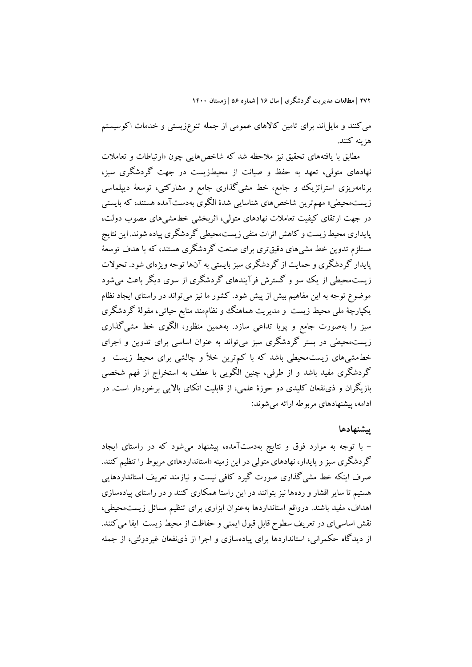ميکنند و مايلاند برای تامين کاالهای عمومي از جمله تنوعزيستي و خدمات اکوسيستم هزينه کنند.

مطابق با يافتههای تحقيق نيز مالحظه شد که شاخصهايي چون »ارتباطات و تعامالت نهادهای متولي، تعهد به حفظ و صيانت از محيطزيست در جهت گردشگری سبز، برنامهريزی استراتژيک و جامع، خط مشيگذاری جامع و مشارکتي، توسعة ديپلماسي زيستمحيطي« مهمترين شاخصهای شناسايي شدۀ الگوی بهدستآمده هستند، که بايستي در جهت ارتقای کيفيت تعامالت نهادهای متولي، اثربخشي خطمشيهای مصوب دولت، پايداری محيط زيست و کاهش اثرات منفي زيستمحيطي گردشگری پياده شوند. اين نتايج مستلزم تدوين خط مشيهای دقيقتری برای صنعت گردشگری هستند، که با هدف توسعة پايدار گردشگری و حمايت از گردشگری سبز بايستي به آنها توجه ويژهای شود. تحوالت زيستمحيطي از يک سو و گسترش فرآيندهای گردشگری از سوی ديگر باعث ميشود موضوع توجه به اين مفاهيم بيش از پيش شود. کشور ما نيز ميتواند در راستای ايجاد نظام يکپارچة ملي محيط زيست و مديريت هماهنگ و نظاممند منابع حياتي، مقولة گردشگری سبز را بهصورت جامع و پويا تداعي سازد. بههمين منظور، الگوی خط مشيگذاری زيستمحيطي در بستر گردشگری سبز ميتواند به عنوان اساسي برای تدوين و اجرای خطمشي،های زيست.حيطي باشد که با کم ترين خلأ و چالشي برای محيط زيست ًو گردشگری مفيد باشد و از طرفي، چنين الگويي با عطف به استخراج از فهم شخصي بازيگران و ذینفعان کليدی دو حوزۀ علمي، از قابليت اتکای بااليي برخوردار است. در ادامه، پيشنهادهای مربوطه ارائه ميشوند:

### **پیشنهادها**

- با توجه به موارد فوق و نتايج بهدستآمده، پيشنهاد ميشود که در راستای ايجاد گردشگری سبز و پايدار، نهادهای متولي در اين زمينه «استانداردها»ی مربوط را تنظيم کنند. صرف اينکه خط مشيگذاری صورت گيرد کافي نيست و نيازمند تعريف استانداردهايي هستيم تا ساير اقشار و ردهها نيز بتوانند در اين راستا همکاری کنند و در راستای پيادهسازی اهداف، مفيد باشند. درواقع استانداردها بهعنوان ابزاری برای تنظيم مسائل زيستمحيطي، نقش اساسي اي در تعريف سطوح قابل قبول ايمني و حفاظت از محيط زيست ايفا مي کنند. از ديدگاه حکمراني، استانداردها برای پيادهسازی و اجرا از ذینفعان غيردولتي، از جمله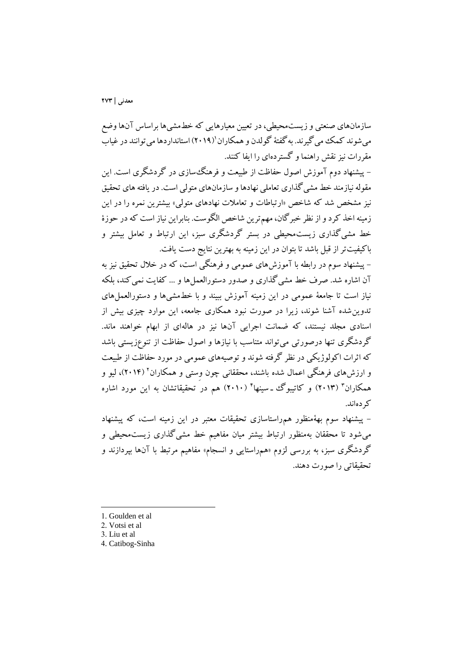سازمانهای صنعتي و زيستمحيطي،در تعيين معيارهايي که خطمشيها براساس آنها وضع میشوند کمک می گیرند. به گفتهٔ گولدن و همکاران'(۲۰۱۹) استانداردها می توانند در غیاب مقررات نيز نقش راهنما و گستردهای را ايفا کنند.

- پيشنهاد دوم آموزش اصول حفاظت از طبيعت و فرهنگسازی در گردشگری است. اين مقوله نيازمند خط مشيگذاری تعاملي نهادها و سازمانهای متولي است. در يافته های تحقيق نيز مشخص شد که شاخص »ارتباطات و تعامالت نهادهای متولي« بيشترين نمره را در اين زمينه اخذ کرد و از نظر خبرگان، مهمترين شاخص الگوست. بنابراين نياز است که در حوزۀ خط مشيگذاری زيستمحيطي در بستر گردشگری سبز، اين ارتباط و تعامل بيشتر و باکيفيتتر از قبل باشد تا بتوان در اين زمينه به بهترين نتايج دست يافت.

- پيشنهاد سوم در رابطه با آموزشهای عمومي و فرهنگي است، که در خالل تحقيق نيز به آن اشاره شد. صرف خط مشي گذاری و صدور دستورالعملها و ... کفايت نمي کند، بلکه نياز است تا جامعة عمومي در اين زمينه آموزش ببيند و با خطمشيها و دستورالعملهای تدوينشده آشنا شوند، زيرا در صورت نبود همکاری جامعه، اين موارد چيزی بيش از اسنادی مجلد نيستند، که ضمانت اجرايي آنها نيز در هالهای از ابهام خواهند ماند. گردشگری تنها درصورتي ميتواند متناسب با نيازها و اصول حفاظت از تنوعزيستي باشد که اثرات اکولوژيکي در نظر گرفته شوند و توصيههای عمومي در مورد حفاظت از طبيعت و ارزشهای فرهنگی اعمال شده باشند، محققانی چون وِستی و همکاران' (۲۰۱۴)، لیو و همکاران<sup>۳</sup> (۲۰۱۳) و کاتيبوگ ــسينها<sup>۲</sup> (۲۰۱۰) هم در تحقيقاتشان به اين مورد اشاره کردهاند.

- پيشنهاد سوم بهةمنظور همراستاسازی تحقيقات معتبر در اين زمينه است، که پيشنهاد ميشود تا محققان بهمنظور ارتباط بيشتر ميان مفاهيم خط مشيگذاری زيستمحيطي و گردشگری سبز، به بررسی لزوم «همراستایی و انسجام» مفاهیم مرتبط با آنها بپردازند و تحقيقاتي را صورت دهند.

1

4. Catibog-Sinha

<sup>1.</sup> Goulden et al

<sup>2.</sup> Votsi et al

<sup>3.</sup> Liu et al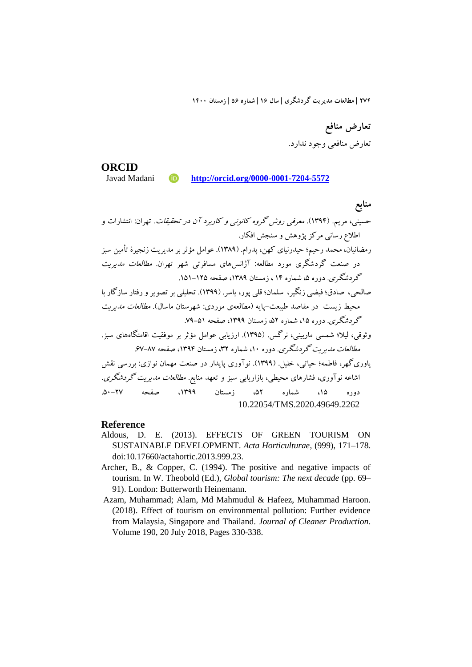**تعارض منافع** تعارض منافعي وجود ندارد.

**ORCID iD** http://orcid.org/0000-0001-7204-5572

**منابع**  حسيني، مريم. )139۴(. معرفي روش گروه کانوني <sup>و</sup> کاربرد آن در تحقيقات. تهران: انتشارات و اطالع رساني مرکز پژوهش و سنجش افکار. رمضانيان، محمد رحيم؛ حيدرنيای کهن، پدرام. )1389(. عوامل مؤثربر مديريت زنجيرۀ تأمين سبز در صنعت گردشگری مورد مطالعه: آژانسهای مسافرتي شهر تهران. مطالعات مديريت گردشگری. دوره ،۵ شماره 1۴ ، زمستان ،1389 صفحه .1۵1-12۵ صالحي، صادق؛ فيضي زنگير، سلمان؛ قلي پور، ياسر. )1399(. تحليلي بر تصويرورفتار سازگار با محيط زيست در مقاصد طبيعت-پايه )مطالعهی موردی: شهرستان ماسال(. مطالعات مديريت گردشگری. دوره ،1۵ شماره ،۵2 زمستان ،1399 صفحه .۷9-۵1 وثوقي، ليال؛ شمسي ماربيني، نرگس. )139۵(. ارزيابي عوامل مؤثر بر موفقيت اقامتگاههای سبز. مطالعات مديريت گردشگری. دوره ،10 شماره ،32 زمستان ،139۴ صفحه .۶۷-8۷ ياوریگهر، فاطمه؛ حياتي، خليل. )1399(. نوآوری پايدار در صنعت مهمان نوازی: بررسي نقش اشاعه نوآوری، فشارهای محيطي، بازاريابي سبز و تعهد منابع. مطالعات مديريت گردشگری. دوره ،1۵ شماره ،۵2 زمستان ،1399 صفحه .۵0-2۷ 10.22054/TMS.2020.49649.2262

#### **Reference**

- Aldous, D. E. (2013). EFFECTS OF GREEN TOURISM ON SUSTAINABLE DEVELOPMENT. *Acta Horticulturae*, (999), 171–178. doi:10.17660/actahortic.2013.999.23.
- Archer, B., & Copper, C. (1994). The positive and negative impacts of tourism. In W. Theobold (Ed.), *Global tourism: The next decade* (pp. 69– 91). London: Butterworth Heinemann.
- Azam, Muhammad; Alam, Md Mahmudul & Hafeez, Muhammad Haroon. (2018). Effect of tourism on environmental pollution: Further evidence from Malaysia, Singapore and Thailand. *Journal of Cleaner Production*. Volume 190, 20 July 2018, Pages 330-338.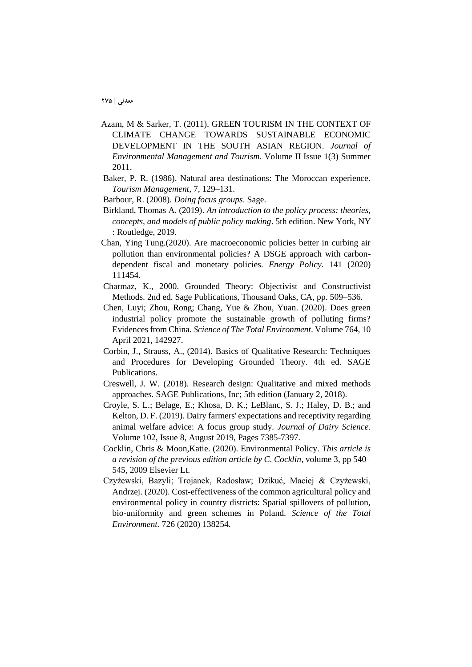- Azam, M & Sarker, T. (2011). GREEN TOURISM IN THE CONTEXT OF CLIMATE CHANGE TOWARDS SUSTAINABLE ECONOMIC DEVELOPMENT IN THE SOUTH ASIAN REGION. *Journal of Environmental Management and Tourism*. Volume II Issue 1(3) Summer 2011.
- Baker, P. R. (1986). Natural area destinations: The Moroccan experience. *Tourism Management*, 7, 129–131.
- Barbour, R. (2008). *Doing focus groups*. Sage.
- Birkland, Thomas A. (2019). *An introduction to the policy process: theories, concepts, and models of public policy making*. 5th edition. New York, NY : Routledge, 2019.
- Chan, Ying Tung.(2020). Are macroeconomic policies better in curbing air pollution than environmental policies? A DSGE approach with carbondependent fiscal and monetary policies. *Energy Policy*. 141 (2020) 111454.
- Charmaz, K., 2000. Grounded Theory: Objectivist and Constructivist Methods. 2nd ed. Sage Publications, Thousand Oaks, CA, pp. 509–536.
- Chen, Luyi; Zhou, Rong; Chang, Yue & Zhou, Yuan. (2020). Does green industrial policy promote the sustainable growth of polluting firms? Evidences from China. *Science of The Total Environment*. Volume 764, 10 April 2021, 142927.
- Corbin, J., Strauss, A., (2014). Basics of Qualitative Research: Techniques and Procedures for Developing Grounded Theory. 4th ed. SAGE Publications.
- Creswell, J. W. (2018). Research design: Qualitative and mixed methods approaches. SAGE Publications, Inc; 5th edition (January 2, 2018).
- Croyle, S. L.; Belage, E.; Khosa, D. K.; LeBlanc, S. J.; Haley, D. B.; and Kelton, D. F. (2019). Dairy farmers' expectations and receptivity regarding animal welfare advice: A focus group study. *Journal of Dairy Science.* Volume 102, Issue 8, August 2019, Pages 7385-7397.
- Cocklin, Chris & Moon,Katie. (2020). Environmental Policy. *This article is a revision of the previous edition article by C. Cocklin*, volume 3, pp 540– 545, 2009 Elsevier Lt.
- Czyżewski, Bazyli; Trojanek, Radosław; Dzikuć, Maciej & Czyżewski, Andrzej. (2020). Cost-effectiveness of the common agricultural policy and environmental policy in country districts: Spatial spillovers of pollution, bio-uniformity and green schemes in Poland. *Science of the Total Environment.* 726 (2020) 138254.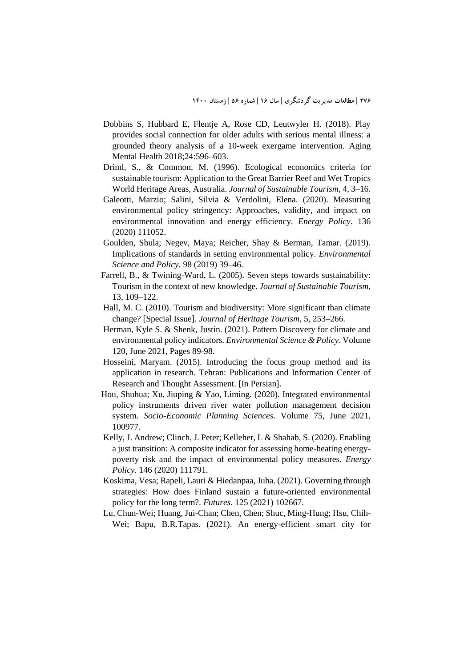- Dobbins S, Hubbard E, Flentje A, Rose CD, Leutwyler H. (2018). Play provides social connection for older adults with serious mental illness: a grounded theory analysis of a 10-week exergame intervention. Aging Mental Health 2018;24:596–603.
- Driml, S., & Common, M. (1996). Ecological economics criteria for sustainable tourism: Application to the Great Barrier Reef and Wet Tropics World Heritage Areas, Australia. *Journal of Sustainable Tourism*, 4, 3–16.
- Galeotti, Marzio; Salini, Silvia & Verdolini, Elena. (2020). Measuring environmental policy stringency: Approaches, validity, and impact on environmental innovation and energy efficiency. *Energy Policy*. 136 (2020) 111052.
- Goulden, Shula; Negev, Maya; Reicher, Shay & Berman, Tamar. (2019). Implications of standards in setting environmental policy. *Environmental Science and Policy.* 98 (2019) 39–46.
- Farrell, B., & Twining-Ward, L. (2005). Seven steps towards sustainability: Tourism in the context of new knowledge. *Journal of Sustainable Tourism*, 13, 109–122.
- Hall, M. C. (2010). Tourism and biodiversity: More significant than climate change? [Special Issue]. *Journal of Heritage Tourism*, 5, 253–266.
- Herman, Kyle S. & Shenk, Justin. (2021). Pattern Discovery for climate and environmental policy indicators. *Environmental Science & Policy*. Volume 120, June 2021, Pages 89-98.
- Hosseini, Maryam. (2015). Introducing the focus group method and its application in research. Tehran: Publications and Information Center of Research and Thought Assessment. [In Persian].
- Hou, Shuhua; Xu, Jiuping & Yao, Liming. (2020). Integrated environmental policy instruments driven river water pollution management decision system. *Socio-Economic Planning Sciences*. Volume 75, June 2021, 100977.
- Kelly, J. Andrew; Clinch, J. Peter; Kelleher, L & Shahab, S. (2020). Enabling a just transition: A composite indicator for assessing home-heating energypoverty risk and the impact of environmental policy measures. *Energy Policy.* 146 (2020) 111791.
- Koskima, Vesa; Rapeli, Lauri & Hiedanpaa, Juha. (2021). Governing through strategies: How does Finland sustain a future-oriented environmental policy for the long term?. *Futures.* 125 (2021) 102667.
- Lu, Chun-Wei; Huang, Jui-Chan; Chen, Chen; Shuc, Ming-Hung; Hsu, Chih-Wei; Bapu, B.R.Tapas. (2021). An energy-efficient smart city for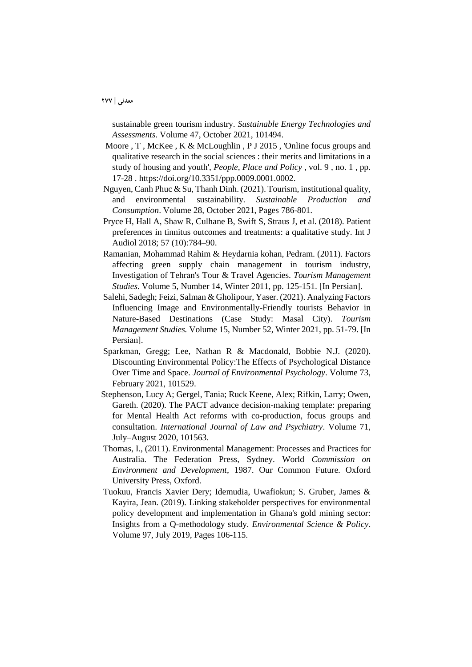sustainable green tourism industry. *Sustainable Energy Technologies and Assessments*. Volume 47, October 2021, 101494.

- Moore , T , McKee , K & McLoughlin , P J 2015 , 'Online focus groups and qualitative research in the social sciences : their merits and limitations in a study of housing and youth', *People, Place and Policy* , vol. 9 , no. 1 , pp. 17-28 . https://doi.org/10.3351/ppp.0009.0001.0002.
- Nguyen, Canh Phuc & Su, Thanh Dinh. (2021). Tourism, institutional quality, and environmental sustainability. *Sustainable Production and Consumption*. Volume 28, October 2021, Pages 786-801.
- Pryce H, Hall A, Shaw R, Culhane B, Swift S, Straus J, et al. (2018). Patient preferences in tinnitus outcomes and treatments: a qualitative study. Int J Audiol 2018; 57 (10):784–90.
- Ramanian, Mohammad Rahim & Heydarnia kohan, Pedram. (2011). Factors affecting green supply chain management in tourism industry, Investigation of Tehran's Tour & Travel Agencies. *Tourism Management Studies.* Volume 5, Number 14, Winter 2011, pp. 125-151. [In Persian].
- Salehi, Sadegh; Feizi, Salman & Gholipour, Yaser. (2021). Analyzing Factors Influencing Image and Environmentally-Friendly tourists Behavior in Nature-Based Destinations (Case Study: Masal City). *Tourism Management Studies.* Volume 15, Number 52, Winter 2021, pp. 51-79. [In Persian].
- Sparkman, Gregg; Lee, Nathan R & Macdonald, Bobbie N.J. (2020). Discounting Environmental Policy:The Effects of Psychological Distance Over Time and Space. *Journal of Environmental Psychology*. Volume 73, February 2021, 101529.
- Stephenson, Lucy A; Gergel, Tania; Ruck Keene, Alex; Rifkin, Larry; Owen, Gareth. (2020). The PACT advance decision-making template: preparing for Mental Health Act reforms with co-production, focus groups and consultation. *International Journal of Law and Psychiatry*. Volume 71, July–August 2020, 101563.
- Thomas, I., (2011). Environmental Management: Processes and Practices for Australia. The Federation Press, Sydney. World *Commission on Environment and Development*, 1987. Our Common Future. Oxford University Press, Oxford.
- Tuokuu, Francis Xavier Dery; Idemudia, Uwafiokun; S. Gruber, James & Kayira, Jean. (2019). Linking stakeholder perspectives for environmental policy development and implementation in Ghana's gold mining sector: Insights from a Q-methodology study. *Environmental Science & Policy*. Volume 97, July 2019, Pages 106-115.